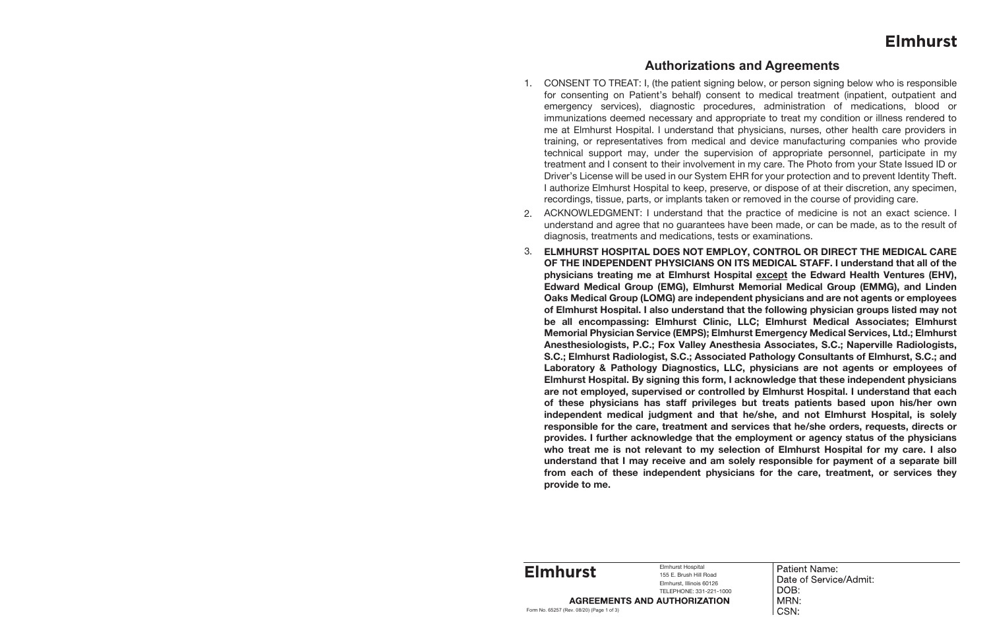## **Authorizations and Agreements**

## **Elmhurst**

1. CONSENT TO TREAT: I, (the patient signing below, or person signing below who is responsible for consenting on Patient's behalf) consent to medical treatment (inpatient, outpatient and emergency services), diagnostic procedures, administration of medications, blood or immunizations deemed necessary and appropriate to treat my condition or illness rendered to me at Elmhurst Hospital. I understand that physicians, nurses, other health care providers in training, or representatives from medical and device manufacturing companies who provide technical support may, under the supervision of appropriate personnel, participate in my treatment and I consent to their involvement in my care. The Photo from your State Issued ID or Driver's License will be used in our System EHR for your protection and to prevent Identity Theft. I authorize Elmhurst Hospital to keep, preserve, or dispose of at their discretion, any specimen, recordings, tissue, parts, or implants taken or removed in the course of providing care.

ACKNOWLEDGMENT: I understand that the practice of medicine is not an exact science. I understand and agree that no guarantees have been made, or can be made, as to the result of

- 
- 2. diagnosis, treatments and medications, tests or examinations.
- 3. **provide to me.**

Elmhurst Hospital 155 E. Brush Hill Road Elmhurst, Illinois 60126 TELEPHONE: 331-221-1000<br>**AGREEMENTS AND AUTHORIZATION** 

**ELMHURST HOSPITAL DOES NOT EMPLOY, CONTROL OR DIRECT THE MEDICAL CARE OF THE INDEPENDENT PHYSICIANS ON ITS MEDICAL STAFF. I understand that all of the physicians treating me at Elmhurst Hospital except the Edward Health Ventures (EHV), Edward Medical Group (EMG), Elmhurst Memorial Medical Group (EMMG), and Linden Oaks Medical Group (LOMG) are independent physicians and are not agents or employees of Elmhurst Hospital. I also understand that the following physician groups listed may not be all encompassing: Elmhurst Clinic, LLC; Elmhurst Medical Associates; Elmhurst Memorial Physician Service (EMPS); Elmhurst Emergency Medical Services, Ltd.; Elmhurst Anesthesiologists, P.C.; Fox Valley Anesthesia Associates, S.C.; Naperville Radiologists, S.C.; Elmhurst Radiologist, S.C.; Associated Pathology Consultants of Elmhurst, S.C.; and Laboratory & Pathology Diagnostics, LLC, physicians are not agents or employees of Elmhurst Hospital. By signing this form, I acknowledge that these independent physicians are not employed, supervised or controlled by Elmhurst Hospital. I understand that each of these physicians has staff privileges but treats patients based upon his/her own independent medical judgment and that he/she, and not Elmhurst Hospital, is solely responsible for the care, treatment and services that he/she orders, requests, directs or provides. I further acknowledge that the employment or agency status of the physicians who treat me is not relevant to my selection of Elmhurst Hospital for my care. I also understand that I may receive and am solely responsible for payment of a separate bill from each of these independent physicians for the care, treatment, or services they** 

Form No. 65257 (Rev. 08/20) (Page 1 of 3)

**Elmhurst**